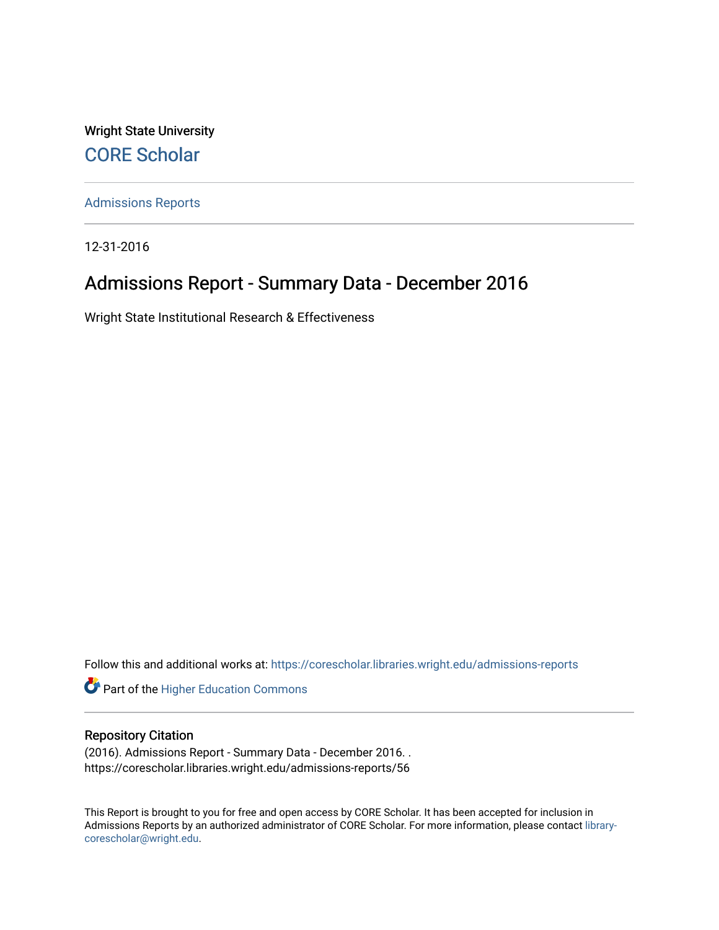Wright State University [CORE Scholar](https://corescholar.libraries.wright.edu/)

[Admissions Reports](https://corescholar.libraries.wright.edu/admissions-reports) 

12-31-2016

# Admissions Report - Summary Data - December 2016

Wright State Institutional Research & Effectiveness

Follow this and additional works at: [https://corescholar.libraries.wright.edu/admissions-reports](https://corescholar.libraries.wright.edu/admissions-reports?utm_source=corescholar.libraries.wright.edu%2Fadmissions-reports%2F56&utm_medium=PDF&utm_campaign=PDFCoverPages) 

**Part of the Higher Education Commons** 

# Repository Citation

(2016). Admissions Report - Summary Data - December 2016. . https://corescholar.libraries.wright.edu/admissions-reports/56

This Report is brought to you for free and open access by CORE Scholar. It has been accepted for inclusion in Admissions Reports by an authorized administrator of CORE Scholar. For more information, please contact [library](mailto:library-corescholar@wright.edu)[corescholar@wright.edu](mailto:library-corescholar@wright.edu).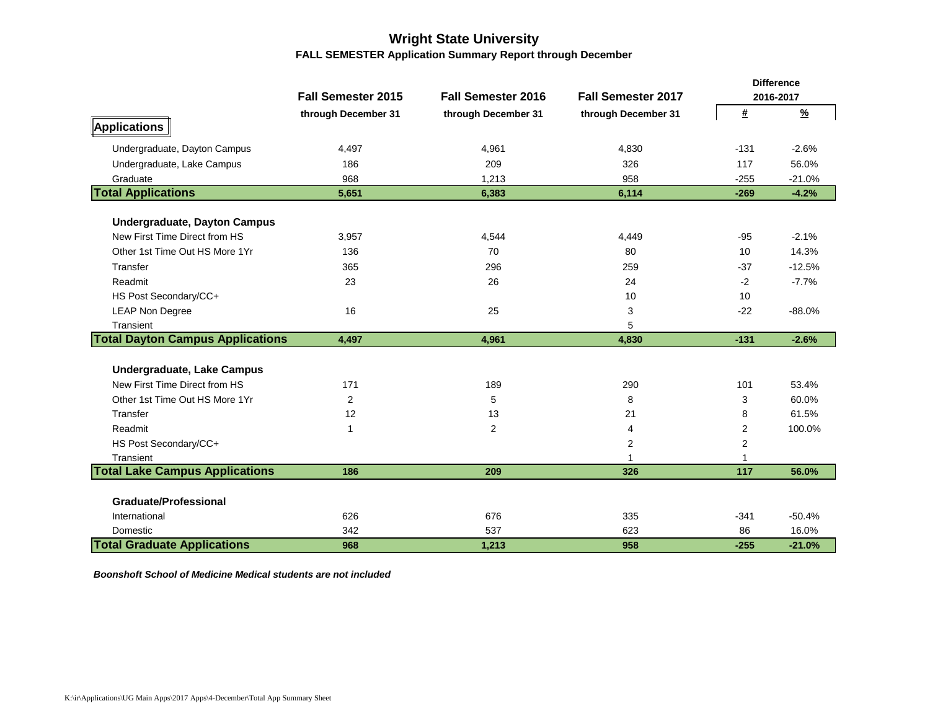# **Wright State University FALL SEMESTER Application Summary Report through December**

|                                         |                           |                           |                           |                | <b>Difference</b> |
|-----------------------------------------|---------------------------|---------------------------|---------------------------|----------------|-------------------|
|                                         | <b>Fall Semester 2015</b> | <b>Fall Semester 2016</b> | <b>Fall Semester 2017</b> |                | 2016-2017         |
|                                         | through December 31       | through December 31       | through December 31       | #              | $\frac{9}{6}$     |
| Applications                            |                           |                           |                           |                |                   |
| Undergraduate, Dayton Campus            | 4,497                     | 4,961                     | 4,830                     | $-131$         | $-2.6%$           |
| Undergraduate, Lake Campus              | 186                       | 209                       | 326                       | 117            | 56.0%             |
| Graduate                                | 968                       | 1,213                     | 958                       | $-255$         | $-21.0%$          |
| <b>Total Applications</b>               | 5,651                     | 6,383                     | 6,114                     | $-269$         | $-4.2%$           |
| <b>Undergraduate, Dayton Campus</b>     |                           |                           |                           |                |                   |
| New First Time Direct from HS           | 3,957                     | 4,544                     | 4,449                     | $-95$          | $-2.1%$           |
| Other 1st Time Out HS More 1Yr          | 136                       | 70                        | 80                        | 10             | 14.3%             |
| Transfer                                | 365                       | 296                       | 259                       | $-37$          | $-12.5%$          |
| Readmit                                 | 23                        | 26                        | 24                        | $-2$           | $-7.7%$           |
| HS Post Secondary/CC+                   |                           |                           | 10                        | 10             |                   |
| <b>LEAP Non Degree</b>                  | 16                        | 25                        | 3                         | $-22$          | $-88.0%$          |
| Transient                               |                           |                           | 5                         |                |                   |
| <b>Total Dayton Campus Applications</b> | 4,497                     | 4,961                     | 4,830                     | $-131$         | $-2.6%$           |
| <b>Undergraduate, Lake Campus</b>       |                           |                           |                           |                |                   |
| New First Time Direct from HS           | 171                       | 189                       | 290                       | 101            | 53.4%             |
| Other 1st Time Out HS More 1Yr          | $\overline{2}$            | 5                         | 8                         | 3              | 60.0%             |
| Transfer                                | 12                        | 13                        | 21                        | 8              | 61.5%             |
| Readmit                                 | 1                         | $\mathbf{2}$              | 4                         | $\overline{2}$ | 100.0%            |
| HS Post Secondary/CC+                   |                           |                           | $\overline{2}$            | 2              |                   |
| Transient                               |                           |                           |                           |                |                   |
| <b>Total Lake Campus Applications</b>   | 186                       | 209                       | 326                       | 117            | 56.0%             |
|                                         |                           |                           |                           |                |                   |
| <b>Graduate/Professional</b>            |                           |                           |                           |                |                   |
| International                           | 626                       | 676                       | 335                       | $-341$         | $-50.4%$          |
| Domestic                                | 342                       | 537                       | 623                       | 86             | 16.0%             |
| <b>Total Graduate Applications</b>      | 968                       | 1,213                     | 958                       | $-255$         | $-21.0%$          |

*Boonshoft School of Medicine Medical students are not included*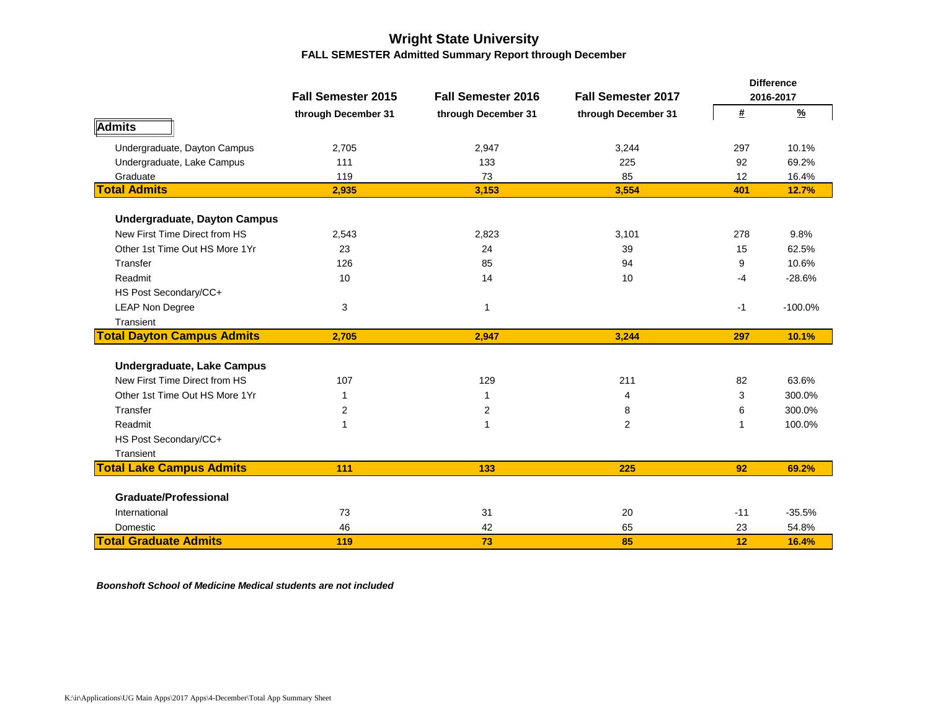# **Wright State University FALL SEMESTER Admitted Summary Report through December**

|                                     |                           |                           |                           |                | <b>Difference</b> |  |  |  |
|-------------------------------------|---------------------------|---------------------------|---------------------------|----------------|-------------------|--|--|--|
|                                     | <b>Fall Semester 2015</b> | <b>Fall Semester 2016</b> | <b>Fall Semester 2017</b> |                | 2016-2017         |  |  |  |
|                                     | through December 31       | through December 31       | through December 31       | #              | $\frac{9}{6}$     |  |  |  |
| <b>Admits</b>                       |                           |                           |                           |                |                   |  |  |  |
| Undergraduate, Dayton Campus        | 2,705                     | 2,947                     | 3,244                     | 297            | 10.1%             |  |  |  |
| Undergraduate, Lake Campus          | 111                       | 133                       | 225                       | 92             | 69.2%             |  |  |  |
| Graduate                            | 119                       | 73                        | 85                        | 12             | 16.4%             |  |  |  |
| <b>Total Admits</b>                 | 2,935                     | 3,153                     | 3,554                     | 401            | 12.7%             |  |  |  |
| <b>Undergraduate, Dayton Campus</b> |                           |                           |                           |                |                   |  |  |  |
| New First Time Direct from HS       | 2,543                     | 2,823                     | 3,101                     | 278            | 9.8%              |  |  |  |
| Other 1st Time Out HS More 1Yr      | 23                        | 24                        | 39                        | 15             | 62.5%             |  |  |  |
| Transfer                            | 126                       | 85                        | 94                        | 9              | 10.6%             |  |  |  |
| Readmit                             | 10                        | 14                        | 10                        | $-4$           | $-28.6%$          |  |  |  |
| HS Post Secondary/CC+               |                           |                           |                           |                |                   |  |  |  |
| <b>LEAP Non Degree</b>              | 3                         | 1                         |                           | $-1$           | $-100.0%$         |  |  |  |
| Transient                           |                           |                           |                           |                |                   |  |  |  |
| <b>Total Dayton Campus Admits</b>   | 2.705                     | 2.947                     | 3.244                     | 297            | 10.1%             |  |  |  |
| <b>Undergraduate, Lake Campus</b>   |                           |                           |                           |                |                   |  |  |  |
| New First Time Direct from HS       | 107                       | 129                       | 211                       | 82             | 63.6%             |  |  |  |
|                                     |                           |                           |                           |                |                   |  |  |  |
| Other 1st Time Out HS More 1Yr      | 1                         | 1                         | 4                         | 3              | 300.0%            |  |  |  |
| Transfer                            | 2                         | 2                         | 8                         | 6              | 300.0%            |  |  |  |
| Readmit                             | $\mathbf{1}$              |                           | $\overline{2}$            | $\overline{1}$ | 100.0%            |  |  |  |
| HS Post Secondary/CC+               |                           |                           |                           |                |                   |  |  |  |
| Transient                           |                           |                           |                           |                |                   |  |  |  |
| <b>Total Lake Campus Admits</b>     | 111                       | 133                       | 225                       | 92             | 69.2%             |  |  |  |
| <b>Graduate/Professional</b>        |                           |                           |                           |                |                   |  |  |  |
| International                       | 73                        | 31                        | 20                        | $-11$          | $-35.5%$          |  |  |  |
| Domestic                            | 46                        | 42                        | 65                        | 23             | 54.8%             |  |  |  |
| <b>Total Graduate Admits</b>        | 119                       | 73                        | 85                        | 12             | 16.4%             |  |  |  |

*Boonshoft School of Medicine Medical students are not included*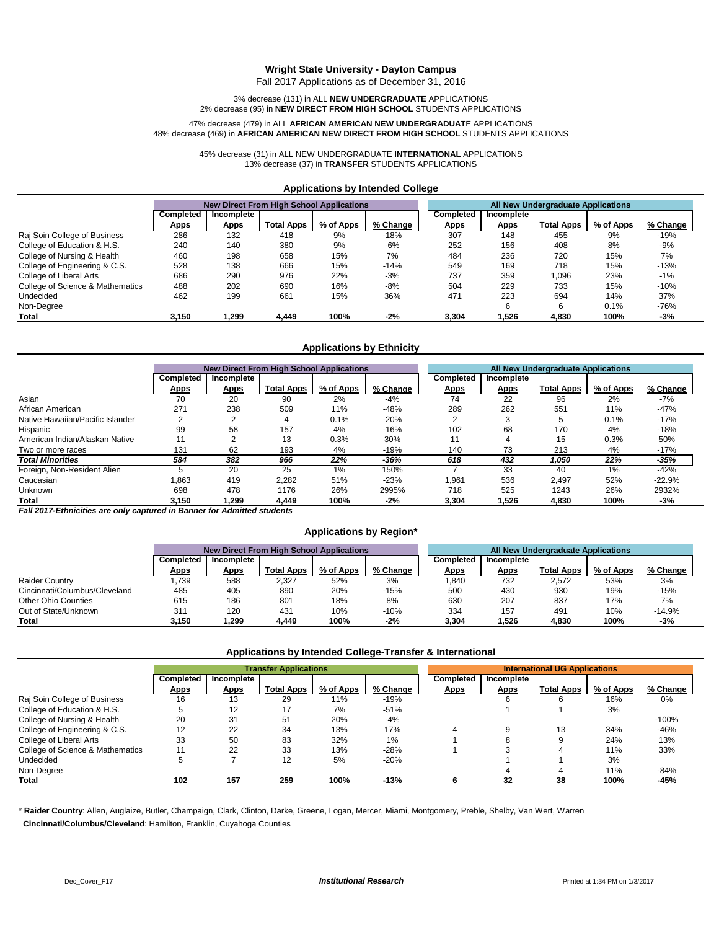### **Wright State University - Dayton Campus**

Fall 2017 Applications as of December 31, 2016

3% decrease (131) in ALL **NEW UNDERGRADUATE** APPLICATIONS 2% decrease (95) in **NEW DIRECT FROM HIGH SCHOOL** STUDENTS APPLICATIONS

#### 47% decrease (479) in ALL **AFRICAN AMERICAN NEW UNDERGRADUAT**E APPLICATIONS 48% decrease (469) in **AFRICAN AMERICAN NEW DIRECT FROM HIGH SCHOOL** STUDENTS APPLICATIONS

45% decrease (31) in ALL NEW UNDERGRADUATE **INTERNATIONAL** APPLICATIONS 13% decrease (37) in **TRANSFER** STUDENTS APPLICATIONS

#### **Applications by Intended College**

|                                  |             | <b>New Direct From High School Applications</b> |            |           |          | All New Undergraduate Applications |             |                   |           |          |
|----------------------------------|-------------|-------------------------------------------------|------------|-----------|----------|------------------------------------|-------------|-------------------|-----------|----------|
|                                  | Completed   | Incomplete                                      |            |           |          | Completed                          | Incomplete  |                   |           |          |
|                                  | <u>Apps</u> | <u>Apps</u>                                     | Total Apps | % of Apps | % Change | <u>Apps</u>                        | <u>Apps</u> | <b>Total Apps</b> | % of Apps | % Change |
| Raj Soin College of Business     | 286         | 132                                             | 418        | 9%        | $-18%$   | 307                                | 148         | 455               | 9%        | $-19%$   |
| College of Education & H.S.      | 240         | 140                                             | 380        | 9%        | $-6%$    | 252                                | 156         | 408               | 8%        | $-9%$    |
| College of Nursing & Health      | 460         | 198                                             | 658        | 15%       | 7%       | 484                                | 236         | 720               | 15%       | 7%       |
| College of Engineering & C.S.    | 528         | 138                                             | 666        | 15%       | $-14%$   | 549                                | 169         | 718               | 15%       | $-13%$   |
| College of Liberal Arts          | 686         | 290                                             | 976        | 22%       | $-3%$    | 737                                | 359         | ,096              | 23%       | $-1%$    |
| College of Science & Mathematics | 488         | 202                                             | 690        | 16%       | $-8%$    | 504                                | 229         | 733               | 15%       | $-10%$   |
| <b>Undecided</b>                 | 462         | 199                                             | 661        | 15%       | 36%      | 471                                | 223         | 694               | 14%       | 37%      |
| Non-Degree                       |             |                                                 |            |           |          |                                    | 6           | 6                 | 0.1%      | $-76%$   |
| <b>Total</b>                     | 3.150       | 299. ا                                          | 4.449      | 100%      | $-2%$    | 3.304                              | 1.526       | 4.830             | 100%      | -3%      |

### **Applications by Ethnicity**

|                                  |             | <b>New Direct From High School Applications</b> |                   |           |          |  | <b>All New Undergraduate Applications</b> |             |                   |           |          |
|----------------------------------|-------------|-------------------------------------------------|-------------------|-----------|----------|--|-------------------------------------------|-------------|-------------------|-----------|----------|
|                                  | Completed   | Incomplete                                      |                   |           |          |  | Completed                                 | Incomplete  |                   |           |          |
|                                  | <u>Apps</u> | <b>Apps</b>                                     | <b>Total Apps</b> | % of Apps | % Change |  | <u>Apps</u>                               | <b>Apps</b> | <b>Total Apps</b> | % of Apps | % Change |
| Asian                            | 70          | 20                                              | 90                | 2%        | $-4%$    |  | 74                                        | 22          | 96                | 2%        | $-7%$    |
| African American                 | 271         | 238                                             | 509               | 11%       | $-48%$   |  | 289                                       | 262         | 551               | 11%       | $-47%$   |
| Native Hawaiian/Pacific Islander |             |                                                 | 4                 | 0.1%      | $-20%$   |  |                                           |             | 5                 | 0.1%      | $-17%$   |
| Hispanic                         | 99          | 58                                              | 157               | 4%        | $-16%$   |  | 102                                       | 68          | 170               | 4%        | $-18%$   |
| American Indian/Alaskan Native   |             | c                                               | 13                | 0.3%      | 30%      |  | 11                                        | 4           | 15                | 0.3%      | 50%      |
| Two or more races                | 131         | 62                                              | 193               | 4%        | $-19%$   |  | 140                                       | 73          | 213               | 4%        | $-17%$   |
| <b>Total Minorities</b>          | 584         | 382                                             | 966               | 22%       | -36%     |  | 618                                       | 432         | 1,050             | 22%       | -35%     |
| Foreign, Non-Resident Alien      |             | 20                                              | 25                | $1\%$     | 150%     |  |                                           | 33          | 40                | $1\%$     | $-42%$   |
| Caucasian                        | .863        | 419                                             | 2,282             | 51%       | $-23%$   |  | 1,961                                     | 536         | 2.497             | 52%       | $-22.9%$ |
| Unknown                          | 698         | 478                                             | 1176              | 26%       | 2995%    |  | 718                                       | 525         | 1243              | 26%       | 2932%    |
| <b>Total</b>                     | 3.150       | 1.299                                           | 4.449             | 100%      | $-2%$    |  | 3.304                                     | 1.526       | 4,830             | 100%      | $-3%$    |

*Fall 2017-Ethnicities are only captured in Banner for Admitted students*

#### **Applications by Region\***

|                               |             | <b>New Direct From High School Applications</b> |                   |           |           | All New Undergraduate Applications |             |                   |           |          |
|-------------------------------|-------------|-------------------------------------------------|-------------------|-----------|-----------|------------------------------------|-------------|-------------------|-----------|----------|
|                               | Completed   | Incomplete                                      |                   |           | Completed | Incomplete                         |             |                   |           |          |
|                               | <u>Apps</u> | <u>Apps</u>                                     | <b>Total Apps</b> | % of Apps | % Change  | <u>Apps</u>                        | <u>Apps</u> | <b>Total Apps</b> | % of Apps | % Change |
| <b>Raider Country</b>         | ,739        | 588                                             | 2,327             | 52%       | 3%        | 1.840                              | 732         | 2,572             | 53%       | 3%       |
| Cincinnati/Columbus/Cleveland | 485         | 405                                             | 890               | 20%       | $-15%$    | 500                                | 430         | 930               | 19%       | $-15%$   |
| <b>Other Ohio Counties</b>    | 615         | 186                                             | 801               | 18%       | 8%        | 630                                | 207         | 837               | 17%       | 7%       |
| Out of State/Unknown          | 31'         | 120                                             | 431               | 10%       | $-10%$    | 334                                | 157         | 491               | 10%       | $-14.9%$ |
| Total                         | 3.150       | .299.                                           | 4,449             | 100%      | $-2%$     | 3,304                              | 526,        | 4,830             | 100%      | -3%      |

### **Applications by Intended College-Transfer & International**

|                                  |             | <b>Transfer Applications</b> |                   |           |          | <b>International UG Applications</b> |             |                   |           |          |
|----------------------------------|-------------|------------------------------|-------------------|-----------|----------|--------------------------------------|-------------|-------------------|-----------|----------|
|                                  | Completed   | Incomplete                   |                   |           |          | Completed                            | Incomplete  |                   |           |          |
|                                  | <b>Apps</b> | <u>Apps</u>                  | <b>Total Apps</b> | % of Apps | % Change | <b>Apps</b>                          | <b>Apps</b> | <b>Total Apps</b> | % of Apps | % Change |
| Raj Soin College of Business     | 16          | 13                           | 29                | 11%       | $-19%$   |                                      | 6           |                   | 16%       | 0%       |
| College of Education & H.S.      |             | 12                           | 17                | 7%        | $-51%$   |                                      |             |                   | 3%        |          |
| College of Nursing & Health      | 20          | 31                           | 51                | 20%       | $-4%$    |                                      |             |                   |           | $-100%$  |
| College of Engineering & C.S.    | 12          | 22                           | 34                | 13%       | 17%      |                                      |             | 13                | 34%       | $-46%$   |
| College of Liberal Arts          | 33          | 50                           | 83                | 32%       | $1\%$    |                                      |             |                   | 24%       | 13%      |
| College of Science & Mathematics |             | 22                           | 33                | 13%       | $-28%$   |                                      |             |                   | 11%       | 33%      |
| <b>Undecided</b>                 |             |                              | 12                | 5%        | $-20%$   |                                      |             |                   | 3%        |          |
| Non-Degree                       |             |                              |                   |           |          |                                      |             |                   | 11%       | $-84%$   |
| Total                            | 102         | 157                          | 259               | 100%      | $-13%$   |                                      | 32          | 38                | 100%      | -45%     |

\* **Raider Country**: Allen, Auglaize, Butler, Champaign, Clark, Clinton, Darke, Greene, Logan, Mercer, Miami, Montgomery, Preble, Shelby, Van Wert, Warren  **Cincinnati/Columbus/Cleveland**: Hamilton, Franklin, Cuyahoga Counties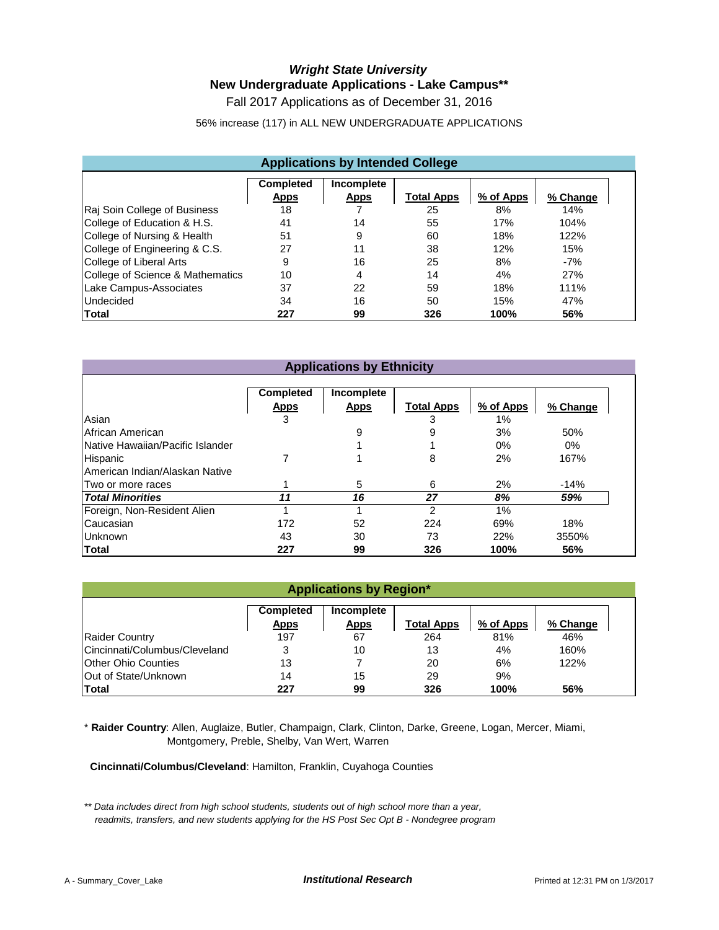# *Wright State University* **New Undergraduate Applications - Lake Campus\*\***

Fall 2017 Applications as of December 31, 2016

56% increase (117) in ALL NEW UNDERGRADUATE APPLICATIONS

| <b>Applications by Intended College</b>                                                             |     |    |     |      |       |  |  |  |  |  |
|-----------------------------------------------------------------------------------------------------|-----|----|-----|------|-------|--|--|--|--|--|
| Completed<br>Incomplete<br><b>Total Apps</b><br>% of Apps<br><b>Apps</b><br><b>Apps</b><br>% Change |     |    |     |      |       |  |  |  |  |  |
| Raj Soin College of Business                                                                        | 18  |    | 25  | 8%   | 14%   |  |  |  |  |  |
| College of Education & H.S.                                                                         | 41  | 14 | 55  | 17%  | 104%  |  |  |  |  |  |
| College of Nursing & Health                                                                         | 51  | 9  | 60  | 18%  | 122%  |  |  |  |  |  |
| College of Engineering & C.S.                                                                       | 27  | 11 | 38  | 12%  | 15%   |  |  |  |  |  |
| College of Liberal Arts                                                                             | 9   | 16 | 25  | 8%   | $-7%$ |  |  |  |  |  |
| College of Science & Mathematics                                                                    | 10  | 4  | 14  | 4%   | 27%   |  |  |  |  |  |
| Lake Campus-Associates                                                                              | 37  | 22 | 59  | 18%  | 111%  |  |  |  |  |  |
| <b>Undecided</b>                                                                                    | 34  | 16 | 50  | 15%  | 47%   |  |  |  |  |  |
| Total                                                                                               | 227 | 99 | 326 | 100% | 56%   |  |  |  |  |  |

# **Applications by Ethnicity**

|                                  | <b>Completed</b><br><b>Apps</b> | Incomplete<br><b>Apps</b> | <b>Total Apps</b> | % of Apps | % Change |
|----------------------------------|---------------------------------|---------------------------|-------------------|-----------|----------|
| Asian                            | 3                               |                           | 3                 | 1%        |          |
| African American                 |                                 | 9                         |                   | 3%        | 50%      |
| Native Hawaiian/Pacific Islander |                                 |                           |                   | $0\%$     | 0%       |
| Hispanic                         |                                 |                           | 8                 | 2%        | 167%     |
| American Indian/Alaskan Native   |                                 |                           |                   |           |          |
| Two or more races                |                                 | 5                         | 6                 | 2%        | $-14%$   |
| <b>Total Minorities</b>          | 11                              | 16                        | 27                | 8%        | 59%      |
| Foreign, Non-Resident Alien      |                                 |                           | 2                 | 1%        |          |
| Caucasian                        | 172                             | 52                        | 224               | 69%       | 18%      |
| Unknown                          | 43                              | 30                        | 73                | 22%       | 3550%    |
| Total                            | 227                             | 99                        | 326               | 100%      | 56%      |

| <b>Applications by Region*</b>                                                                      |                                |    |     |      |      |  |  |  |  |  |  |
|-----------------------------------------------------------------------------------------------------|--------------------------------|----|-----|------|------|--|--|--|--|--|--|
| <b>Completed</b><br>Incomplete<br>% of Apps<br>Total Apps<br>% Change<br><u>Apps</u><br><b>Apps</b> |                                |    |     |      |      |  |  |  |  |  |  |
| <b>Raider Country</b>                                                                               | 197<br>264<br>81%<br>46%<br>67 |    |     |      |      |  |  |  |  |  |  |
| Cincinnati/Columbus/Cleveland                                                                       | 3                              | 10 | 13  | 4%   | 160% |  |  |  |  |  |  |
| <b>Other Ohio Counties</b>                                                                          | 13                             |    | 20  | 6%   | 122% |  |  |  |  |  |  |
| Out of State/Unknown                                                                                | 14                             | 15 | 29  | 9%   |      |  |  |  |  |  |  |
| Total                                                                                               | 227                            | 99 | 326 | 100% | 56%  |  |  |  |  |  |  |

\* **Raider Country**: Allen, Auglaize, Butler, Champaign, Clark, Clinton, Darke, Greene, Logan, Mercer, Miami, Montgomery, Preble, Shelby, Van Wert, Warren

 **Cincinnati/Columbus/Cleveland**: Hamilton, Franklin, Cuyahoga Counties

*\*\* Data includes direct from high school students, students out of high school more than a year, readmits, transfers, and new students applying for the HS Post Sec Opt B - Nondegree program*